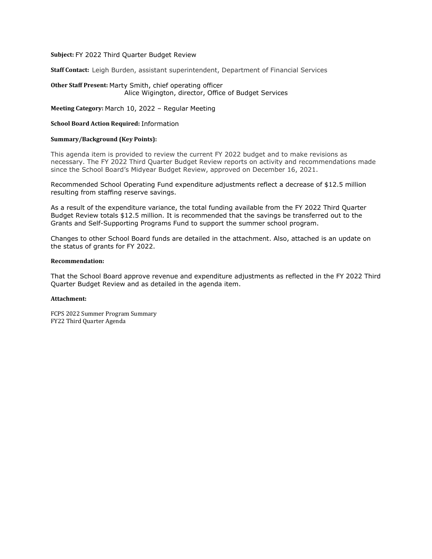#### **Subject:** FY 2022 Third Quarter Budget Review

**Staff Contact:** Leigh Burden, assistant superintendent, Department of Financial Services

#### **Other Staff Present:** Marty Smith, chief operating officer Alice Wigington, director, Office of Budget Services

**Meeting Category:** March 10, 2022 – Regular Meeting

#### **School Board Action Required:** Information

#### **Summary/Background (Key Points):**

This agenda item is provided to review the current FY 2022 budget and to make revisions as necessary. The FY 2022 Third Quarter Budget Review reports on activity and recommendations made since the School Board's Midyear Budget Review, approved on December 16, 2021.

Recommended School Operating Fund expenditure adjustments reflect a decrease of \$12.5 million resulting from staffing reserve savings.

As a result of the expenditure variance, the total funding available from the FY 2022 Third Quarter Budget Review totals \$12.5 million. It is recommended that the savings be transferred out to the Grants and Self-Supporting Programs Fund to support the summer school program.

Changes to other School Board funds are detailed in the attachment. Also, attached is an update on the status of grants for FY 2022.

#### **Recommendation:**

That the School Board approve revenue and expenditure adjustments as reflected in the FY 2022 Third Quarter Budget Review and as detailed in the agenda item.

#### **Attachment:**

FCPS 2022 Summer Program Summary FY22 Third Quarter Agenda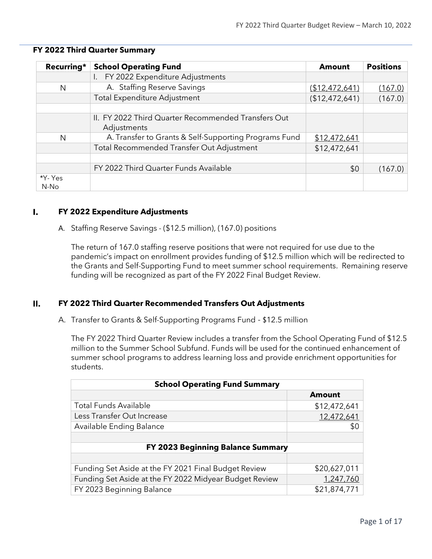| Recurring*      | <b>School Operating Fund</b>                                       | <b>Amount</b>  | <b>Positions</b> |
|-----------------|--------------------------------------------------------------------|----------------|------------------|
|                 | FY 2022 Expenditure Adjustments<br>$\mathsf{L}$                    |                |                  |
| N               | A. Staffing Reserve Savings                                        | (\$12,472,641) | (167.0)          |
|                 | <b>Total Expenditure Adjustment</b>                                | (\$12,472,641) | (167.0)          |
|                 | II. FY 2022 Third Quarter Recommended Transfers Out<br>Adjustments |                |                  |
| N               | A. Transfer to Grants & Self-Supporting Programs Fund              | \$12,472,641   |                  |
|                 | Total Recommended Transfer Out Adjustment                          | \$12,472,641   |                  |
|                 | FY 2022 Third Quarter Funds Available                              | \$0            | (167.0)          |
| *Y- Yes<br>N-No |                                                                    |                |                  |

#### **FY 2022 Third Quarter Summary**

#### I. **FY 2022 Expenditure Adjustments**

A. Staffing Reserve Savings - (\$12.5 million), (167.0) positions

The return of 167.0 staffing reserve positions that were not required for use due to the pandemic's impact on enrollment provides funding of \$12.5 million which will be redirected to the Grants and Self-Supporting Fund to meet summer school requirements. Remaining reserve funding will be recognized as part of the FY 2022 Final Budget Review.

#### $II.$ **FY 2022 Third Quarter Recommended Transfers Out Adjustments**

A. Transfer to Grants & Self-Supporting Programs Fund - \$12.5 million

The FY 2022 Third Quarter Review includes a transfer from the School Operating Fund of \$12.5 million to the Summer School Subfund. Funds will be used for the continued enhancement of summer school programs to address learning loss and provide enrichment opportunities for students.

| <b>School Operating Fund Summary</b>                   |               |  |  |  |  |  |
|--------------------------------------------------------|---------------|--|--|--|--|--|
|                                                        | <b>Amount</b> |  |  |  |  |  |
| <b>Total Funds Available</b>                           | \$12,472,641  |  |  |  |  |  |
| Less Transfer Out Increase                             | 12,472,641    |  |  |  |  |  |
| Available Ending Balance                               | \$0           |  |  |  |  |  |
|                                                        |               |  |  |  |  |  |
| <b>FY 2023 Beginning Balance Summary</b>               |               |  |  |  |  |  |
|                                                        |               |  |  |  |  |  |
| Funding Set Aside at the FY 2021 Final Budget Review   | \$20,627,011  |  |  |  |  |  |
| Funding Set Aside at the FY 2022 Midyear Budget Review | 1,247,760     |  |  |  |  |  |
| FY 2023 Beginning Balance                              | \$21,874,771  |  |  |  |  |  |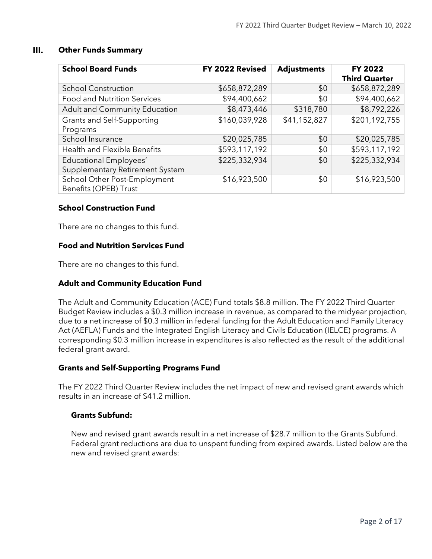#### $III.$ **Other Funds Summary**

| <b>School Board Funds</b>                             | FY 2022 Revised | <b>Adjustments</b> | <b>FY 2022</b><br><b>Third Quarter</b> |
|-------------------------------------------------------|-----------------|--------------------|----------------------------------------|
| <b>School Construction</b>                            | \$658,872,289   | \$0                | \$658,872,289                          |
| Food and Nutrition Services                           | \$94,400,662    | \$0                | \$94,400,662                           |
| Adult and Community Education                         | \$8,473,446     | \$318,780          | \$8,792,226                            |
| Grants and Self-Supporting                            | \$160,039,928   | \$41,152,827       | \$201,192,755                          |
| Programs                                              |                 |                    |                                        |
| School Insurance                                      | \$20,025,785    | \$0                | \$20,025,785                           |
| <b>Health and Flexible Benefits</b>                   | \$593,117,192   | \$0                | \$593,117,192                          |
| <b>Educational Employees'</b>                         | \$225,332,934   | \$0                | \$225,332,934                          |
| Supplementary Retirement System                       |                 |                    |                                        |
| School Other Post-Employment<br>Benefits (OPEB) Trust | \$16,923,500    | \$0                | \$16,923,500                           |

#### **School Construction Fund**

There are no changes to this fund.

#### **Food and Nutrition Services Fund**

There are no changes to this fund.

#### **Adult and Community Education Fund**

The Adult and Community Education (ACE) Fund totals \$8.8 million. The FY 2022 Third Quarter Budget Review includes a \$0.3 million increase in revenue, as compared to the midyear projection, due to a net increase of \$0.3 million in federal funding for the Adult Education and Family Literacy Act (AEFLA) Funds and the Integrated English Literacy and Civils Education (IELCE) programs. A corresponding \$0.3 million increase in expenditures is also reflected as the result of the additional federal grant award.

#### **Grants and Self-Supporting Programs Fund**

The FY 2022 Third Quarter Review includes the net impact of new and revised grant awards which results in an increase of \$41.2 million.

#### **Grants Subfund:**

New and revised grant awards result in a net increase of \$28.7 million to the Grants Subfund. Federal grant reductions are due to unspent funding from expired awards. Listed below are the new and revised grant awards: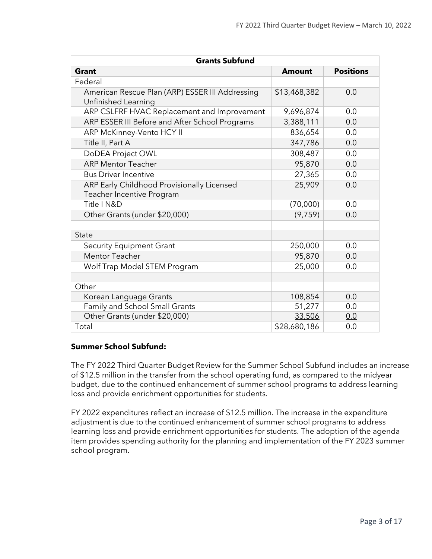| <b>Grants Subfund</b>                                                   |               |                  |
|-------------------------------------------------------------------------|---------------|------------------|
| <b>Grant</b>                                                            | <b>Amount</b> | <b>Positions</b> |
| Federal                                                                 |               |                  |
| American Rescue Plan (ARP) ESSER III Addressing<br>Unfinished Learning  | \$13,468,382  | 0.0              |
| ARP CSLFRF HVAC Replacement and Improvement                             | 9,696,874     | 0.0              |
| ARP ESSER III Before and After School Programs                          | 3,388,111     | 0.0              |
| ARP McKinney-Vento HCY II                                               | 836,654       | 0.0              |
| Title II, Part A                                                        | 347,786       | 0.0              |
| DoDEA Project OWL                                                       | 308,487       | 0.0              |
| <b>ARP Mentor Teacher</b>                                               | 95,870        | 0.0              |
| <b>Bus Driver Incentive</b>                                             | 27,365        | 0.0              |
| ARP Early Childhood Provisionally Licensed<br>Teacher Incentive Program | 25,909        | 0.0              |
| Title I N&D                                                             | (70,000)      | 0.0              |
| Other Grants (under \$20,000)                                           | (9, 759)      | 0.0              |
| State                                                                   |               |                  |
| <b>Security Equipment Grant</b>                                         | 250,000       | 0.0              |
| <b>Mentor Teacher</b>                                                   | 95,870        | 0.0              |
| Wolf Trap Model STEM Program                                            | 25,000        | 0.0              |
|                                                                         |               |                  |
| Other                                                                   |               |                  |
| Korean Language Grants                                                  | 108,854       | 0.0              |
| Family and School Small Grants                                          | 51,277        | 0.0              |
| Other Grants (under \$20,000)                                           | 33,506        | 0.0              |
| Total                                                                   | \$28,680,186  | 0.0              |

#### **Summer School Subfund:**

The FY 2022 Third Quarter Budget Review for the Summer School Subfund includes an increase of \$12.5 million in the transfer from the school operating fund, as compared to the midyear budget, due to the continued enhancement of summer school programs to address learning loss and provide enrichment opportunities for students.

FY 2022 expenditures reflect an increase of \$12.5 million. The increase in the expenditure adjustment is due to the continued enhancement of summer school programs to address learning loss and provide enrichment opportunities for students. The adoption of the agenda item provides spending authority for the planning and implementation of the FY 2023 summer school program.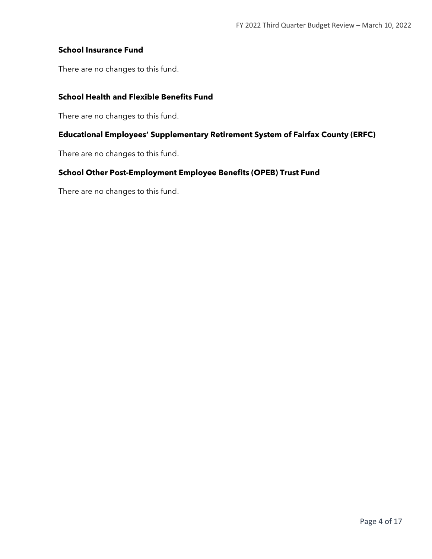#### **School Insurance Fund**

There are no changes to this fund.

## **School Health and Flexible Benefits Fund**

There are no changes to this fund.

#### **Educational Employees' Supplementary Retirement System of Fairfax County (ERFC)**

There are no changes to this fund.

#### **School Other Post-Employment Employee Benefits (OPEB) Trust Fund**

There are no changes to this fund.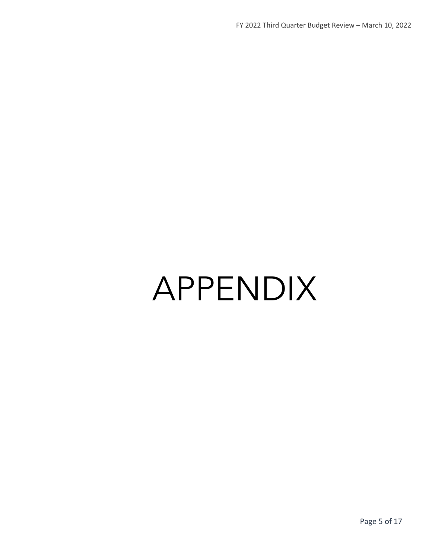# APPENDIX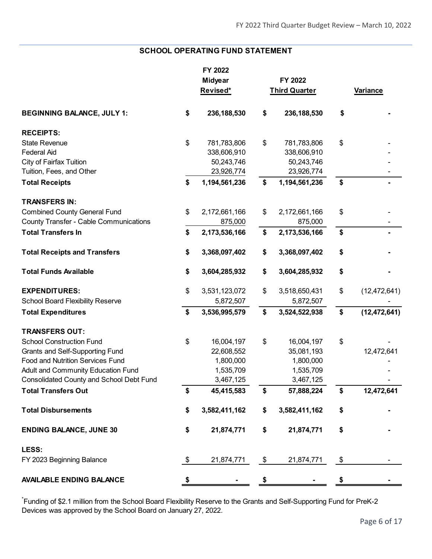#### **SCHOOL OPERATING FUND STATEMENT**

|                                                 | FY 2022             |                      |                      |
|-------------------------------------------------|---------------------|----------------------|----------------------|
|                                                 | <b>Midyear</b>      | FY 2022              |                      |
|                                                 | Revised*            | <b>Third Quarter</b> | <b>Variance</b>      |
| <b>BEGINNING BALANCE, JULY 1:</b>               | \$<br>236, 188, 530 | \$<br>236, 188, 530  | \$                   |
| <b>RECEIPTS:</b>                                |                     |                      |                      |
| <b>State Revenue</b>                            | \$<br>781,783,806   | \$<br>781,783,806    | \$                   |
| <b>Federal Aid</b>                              | 338,606,910         | 338,606,910          |                      |
| <b>City of Fairfax Tuition</b>                  | 50,243,746          | 50,243,746           |                      |
| Tuition, Fees, and Other                        | 23,926,774          | 23,926,774           |                      |
| <b>Total Receipts</b>                           | \$<br>1,194,561,236 | \$<br>1,194,561,236  | \$                   |
| <b>TRANSFERS IN:</b>                            |                     |                      |                      |
| <b>Combined County General Fund</b>             | \$<br>2,172,661,166 | \$<br>2,172,661,166  | \$                   |
| <b>County Transfer - Cable Communications</b>   | 875,000             | 875,000              |                      |
| <b>Total Transfers In</b>                       | \$<br>2,173,536,166 | \$<br>2,173,536,166  | \$                   |
| <b>Total Receipts and Transfers</b>             | \$<br>3,368,097,402 | \$<br>3,368,097,402  | \$                   |
| <b>Total Funds Available</b>                    | \$<br>3,604,285,932 | \$<br>3,604,285,932  | \$                   |
| <b>EXPENDITURES:</b>                            | \$<br>3,531,123,072 | \$<br>3,518,650,431  | \$<br>(12, 472, 641) |
| <b>School Board Flexibility Reserve</b>         | 5,872,507           | 5,872,507            |                      |
| <b>Total Expenditures</b>                       | \$<br>3,536,995,579 | \$<br>3,524,522,938  | \$<br>(12, 472, 641) |
| <b>TRANSFERS OUT:</b>                           |                     |                      |                      |
| <b>School Construction Fund</b>                 | \$<br>16,004,197    | \$<br>16,004,197     | \$                   |
| Grants and Self-Supporting Fund                 | 22,608,552          | 35,081,193           | 12,472,641           |
| <b>Food and Nutrition Services Fund</b>         | 1,800,000           | 1,800,000            |                      |
| Adult and Community Education Fund              | 1,535,709           | 1,535,709            |                      |
| <b>Consolidated County and School Debt Fund</b> | 3,467,125           | 3,467,125            |                      |
| <b>Total Transfers Out</b>                      | \$<br>45,415,583    | \$<br>57,888,224     | \$<br>12,472,641     |
| <b>Total Disbursements</b>                      | \$<br>3,582,411,162 | \$<br>3,582,411,162  | \$                   |
| <b>ENDING BALANCE, JUNE 30</b>                  | \$<br>21,874,771    | \$<br>21,874,771     | \$                   |
| LESS:                                           |                     |                      |                      |
| FY 2023 Beginning Balance                       | \$<br>21,874,771    | \$<br>21,874,771     | \$                   |
| <b>AVAILABLE ENDING BALANCE</b>                 | \$                  | \$                   | \$                   |

\* Funding of \$2.1 million from the School Board Flexibility Reserve to the Grants and Self-Supporting Fund for PreK-2 Devices was approved by the School Board on January 27, 2022.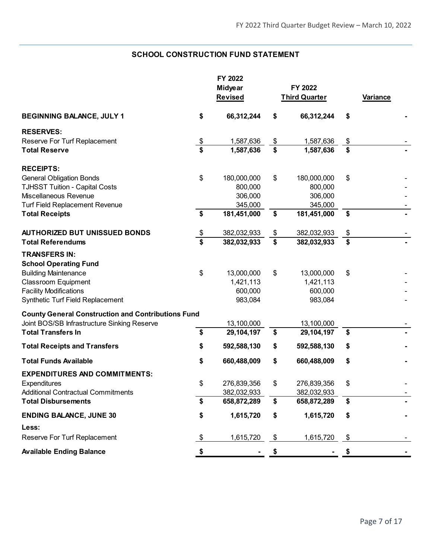## **SCHOOL CONSTRUCTION FUND STATEMENT**

|                                                                                                                                                                                        |                             | FY 2022<br><b>Midyear</b><br><b>Revised</b>   | FY 2022<br><b>Third Quarter</b>                     | Variance |  |
|----------------------------------------------------------------------------------------------------------------------------------------------------------------------------------------|-----------------------------|-----------------------------------------------|-----------------------------------------------------|----------|--|
| <b>BEGINNING BALANCE, JULY 1</b>                                                                                                                                                       | \$                          | 66,312,244                                    | \$<br>66,312,244                                    | \$       |  |
| <b>RESERVES:</b>                                                                                                                                                                       |                             |                                               |                                                     |          |  |
| Reserve For Turf Replacement                                                                                                                                                           |                             | 1,587,636                                     | \$<br>1,587,636                                     | \$       |  |
| <b>Total Reserve</b>                                                                                                                                                                   | $\frac{3}{3}$               | 1,587,636                                     | \$<br>1,587,636                                     | \$       |  |
| <b>RECEIPTS:</b>                                                                                                                                                                       |                             |                                               |                                                     |          |  |
| <b>General Obligation Bonds</b>                                                                                                                                                        | \$                          | 180,000,000                                   | \$<br>180,000,000                                   | \$       |  |
| <b>TJHSST Tuition - Capital Costs</b>                                                                                                                                                  |                             | 800,000                                       | 800,000                                             |          |  |
| Miscellaneous Revenue                                                                                                                                                                  |                             | 306,000                                       | 306,000                                             |          |  |
| <b>Turf Field Replacement Revenue</b>                                                                                                                                                  |                             | 345,000                                       | 345,000                                             |          |  |
| <b>Total Receipts</b>                                                                                                                                                                  | \$                          | 181,451,000                                   | \$<br>181,451,000                                   | \$       |  |
| <b>AUTHORIZED BUT UNISSUED BONDS</b>                                                                                                                                                   | $\boldsymbol{\theta}$       | 382,032,933                                   | \$<br>382,032,933                                   | \$       |  |
| <b>Total Referendums</b>                                                                                                                                                               | $\overline{\boldsymbol{s}}$ | 382,032,933                                   | \$<br>382,032,933                                   | \$       |  |
| <b>TRANSFERS IN:</b><br><b>School Operating Fund</b><br><b>Building Maintenance</b><br><b>Classroom Equipment</b><br><b>Facility Modifications</b><br>Synthetic Turf Field Replacement | \$                          | 13,000,000<br>1,421,113<br>600,000<br>983,084 | \$<br>13,000,000<br>1,421,113<br>600,000<br>983,084 | \$       |  |
| <b>County General Construction and Contributions Fund</b>                                                                                                                              |                             |                                               |                                                     |          |  |
| Joint BOS/SB Infrastructure Sinking Reserve                                                                                                                                            |                             | 13,100,000                                    | 13,100,000                                          |          |  |
| <b>Total Transfers In</b>                                                                                                                                                              | \$                          | 29,104,197                                    | \$<br>29,104,197                                    | \$       |  |
| <b>Total Receipts and Transfers</b>                                                                                                                                                    | \$                          | 592,588,130                                   | \$<br>592,588,130                                   | \$       |  |
| <b>Total Funds Available</b>                                                                                                                                                           | \$                          | 660,488,009                                   | \$<br>660,488,009                                   | \$       |  |
| <b>EXPENDITURES AND COMMITMENTS:</b>                                                                                                                                                   |                             |                                               |                                                     |          |  |
| Expenditures                                                                                                                                                                           | \$                          | 276,839,356                                   | \$<br>276,839,356                                   | \$       |  |
| <b>Additional Contractual Commitments</b>                                                                                                                                              |                             | 382,032,933                                   | 382,032,933                                         |          |  |
| <b>Total Disbursements</b>                                                                                                                                                             | \$                          | 658,872,289                                   | \$<br>658,872,289                                   | \$       |  |
| <b>ENDING BALANCE, JUNE 30</b>                                                                                                                                                         | \$                          | 1,615,720                                     | \$<br>1,615,720                                     | \$       |  |
| Less:                                                                                                                                                                                  |                             |                                               |                                                     |          |  |
| Reserve For Turf Replacement                                                                                                                                                           | \$                          | 1,615,720                                     | \$<br>1,615,720                                     | \$       |  |
| <b>Available Ending Balance</b>                                                                                                                                                        | \$                          |                                               | \$                                                  | \$       |  |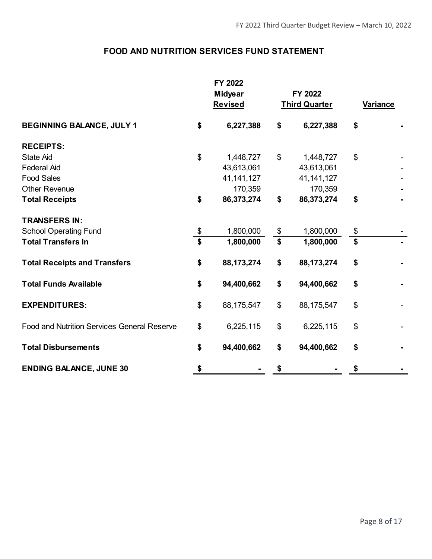# **FOOD AND NUTRITION SERVICES FUND STATEMENT**

|                                                    | FY 2022<br>Midyear<br><b>Revised</b> | FY 2022<br><b>Third Quarter</b> | Variance |  |
|----------------------------------------------------|--------------------------------------|---------------------------------|----------|--|
| <b>BEGINNING BALANCE, JULY 1</b>                   | \$<br>6,227,388                      | \$<br>6,227,388                 | \$       |  |
| <b>RECEIPTS:</b>                                   |                                      |                                 |          |  |
| <b>State Aid</b>                                   | \$<br>1,448,727                      | \$<br>1,448,727                 | \$       |  |
| <b>Federal Aid</b>                                 | 43,613,061                           | 43,613,061                      |          |  |
| <b>Food Sales</b>                                  | 41, 141, 127                         | 41, 141, 127                    |          |  |
| <b>Other Revenue</b>                               | 170,359                              | 170,359                         |          |  |
| <b>Total Receipts</b>                              | \$<br>86,373,274                     | \$<br>86,373,274                | \$       |  |
| <b>TRANSFERS IN:</b>                               |                                      |                                 |          |  |
| <b>School Operating Fund</b>                       | \$<br>1,800,000                      | \$<br>1,800,000                 | \$       |  |
| <b>Total Transfers In</b>                          | \$<br>1,800,000                      | \$<br>1,800,000                 | \$       |  |
| <b>Total Receipts and Transfers</b>                | \$<br>88, 173, 274                   | \$<br>88,173,274                | \$       |  |
| <b>Total Funds Available</b>                       | \$<br>94,400,662                     | \$<br>94,400,662                | \$       |  |
| <b>EXPENDITURES:</b>                               | \$<br>88,175,547                     | \$<br>88,175,547                | \$       |  |
| <b>Food and Nutrition Services General Reserve</b> | \$<br>6,225,115                      | \$<br>6,225,115                 | \$       |  |
| <b>Total Disbursements</b>                         | \$<br>94,400,662                     | \$<br>94,400,662                | \$       |  |
| <b>ENDING BALANCE, JUNE 30</b>                     | \$                                   | \$                              | \$       |  |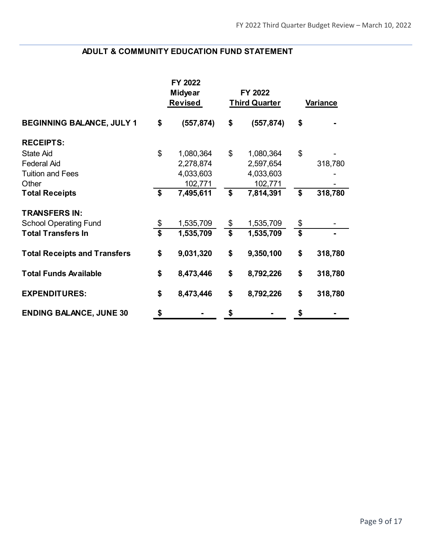## **ADULT & COMMUNITY EDUCATION FUND STATEMENT**

|                                     |                         | FY 2022<br><b>Midyear</b><br><b>Revised</b> |                         | FY 2022<br><b>Third Quarter</b> | <b>Variance</b>         |         |  |
|-------------------------------------|-------------------------|---------------------------------------------|-------------------------|---------------------------------|-------------------------|---------|--|
| <b>BEGINNING BALANCE, JULY 1</b>    | \$                      | (557, 874)                                  | \$                      | (557, 874)                      | \$                      |         |  |
| <b>RECEIPTS:</b>                    |                         |                                             |                         |                                 |                         |         |  |
| <b>State Aid</b>                    | \$                      | 1,080,364                                   | \$                      | 1,080,364                       | \$                      |         |  |
| <b>Federal Aid</b>                  |                         | 2,278,874                                   |                         | 2,597,654                       |                         | 318,780 |  |
| <b>Tuition and Fees</b>             |                         | 4,033,603                                   |                         | 4,033,603                       |                         |         |  |
| Other                               |                         | 102,771                                     |                         | 102,771                         |                         |         |  |
| <b>Total Receipts</b>               | \$                      | 7,495,611                                   | \$                      | 7,814,391                       | \$                      | 318,780 |  |
| <b>TRANSFERS IN:</b>                |                         |                                             |                         |                                 |                         |         |  |
| <b>School Operating Fund</b>        | \$                      | 1,535,709                                   | $\frac{1}{2}$           | 1,535,709                       | \$                      |         |  |
| <b>Total Transfers In</b>           | $\overline{\mathbf{s}}$ | 1,535,709                                   | $\overline{\mathbf{s}}$ | 1,535,709                       | $\overline{\mathbf{s}}$ |         |  |
| <b>Total Receipts and Transfers</b> | \$                      | 9,031,320                                   | \$                      | 9,350,100                       | \$                      | 318,780 |  |
| <b>Total Funds Available</b>        | \$                      | 8,473,446                                   | \$                      | 8,792,226                       | \$                      | 318,780 |  |
| <b>EXPENDITURES:</b>                | \$                      | 8,473,446                                   | \$                      | 8,792,226                       | \$                      | 318,780 |  |
| <b>ENDING BALANCE, JUNE 30</b>      | \$                      |                                             | \$                      |                                 | \$                      |         |  |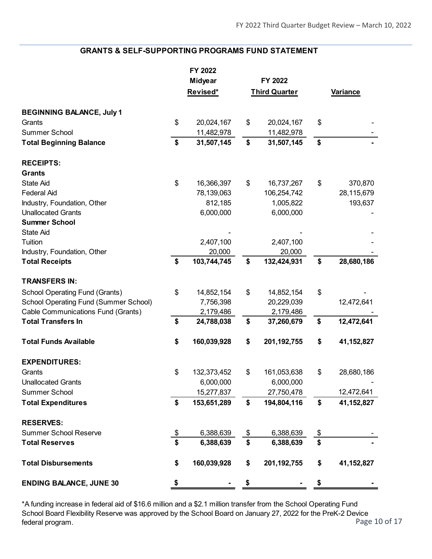#### **GRANTS & SELF-SUPPORTING PROGRAMS FUND STATEMENT**

|                                              |               | FY 2022        |                      |               |              |
|----------------------------------------------|---------------|----------------|----------------------|---------------|--------------|
|                                              |               | <b>Midyear</b> | FY 2022              |               |              |
|                                              |               | Revised*       | <b>Third Quarter</b> |               | Variance     |
| <b>BEGINNING BALANCE, July 1</b>             |               |                |                      |               |              |
| Grants                                       | \$            | 20,024,167     | \$<br>20,024,167     | \$            |              |
| Summer School                                |               | 11,482,978     | 11,482,978           |               |              |
| <b>Total Beginning Balance</b>               | \$            | 31,507,145     | \$<br>31,507,145     | \$            |              |
| <b>RECEIPTS:</b>                             |               |                |                      |               |              |
| <b>Grants</b>                                |               |                |                      |               |              |
| <b>State Aid</b>                             | \$            | 16,366,397     | \$<br>16,737,267     | \$            | 370,870      |
| <b>Federal Aid</b>                           |               | 78,139,063     | 106,254,742          |               | 28,115,679   |
| Industry, Foundation, Other                  |               | 812,185        | 1,005,822            |               | 193,637      |
| <b>Unallocated Grants</b>                    |               | 6,000,000      | 6,000,000            |               |              |
| <b>Summer School</b>                         |               |                |                      |               |              |
| <b>State Aid</b>                             |               |                |                      |               |              |
| Tuition                                      |               | 2,407,100      | 2,407,100            |               |              |
| Industry, Foundation, Other                  |               | 20,000         | 20,000               |               |              |
| <b>Total Receipts</b>                        | \$            | 103,744,745    | \$<br>132,424,931    | \$            | 28,680,186   |
| <b>TRANSFERS IN:</b>                         |               |                |                      |               |              |
| <b>School Operating Fund (Grants)</b>        | \$            | 14,852,154     | \$<br>14,852,154     | \$            |              |
| <b>School Operating Fund (Summer School)</b> |               | 7,756,398      | 20,229,039           |               | 12,472,641   |
| Cable Communications Fund (Grants)           |               | 2,179,486      | 2,179,486            |               |              |
| <b>Total Transfers In</b>                    | \$            | 24,788,038     | \$<br>37,260,679     | \$            | 12,472,641   |
| <b>Total Funds Available</b>                 | \$            | 160,039,928    | \$<br>201, 192, 755  | \$            | 41, 152, 827 |
| <b>EXPENDITURES:</b>                         |               |                |                      |               |              |
| Grants                                       | \$            | 132,373,452    | \$<br>161,053,638    | \$            | 28,680,186   |
| <b>Unallocated Grants</b>                    |               | 6,000,000      | 6,000,000            |               |              |
| <b>Summer School</b>                         |               | 15,277,837     | 27,750,478           |               | 12,472,641   |
| <b>Total Expenditures</b>                    | \$            | 153,651,289    | \$<br>194,804,116    | \$            | 41,152,827   |
| <b>RESERVES:</b>                             |               |                |                      |               |              |
| <b>Summer School Reserve</b>                 | $\frac{1}{2}$ | 6,388,639      | \$<br>6,388,639      | $\frac{1}{2}$ |              |
| <b>Total Reserves</b>                        | \$            | 6,388,639      | \$<br>6,388,639      | \$            |              |
| <b>Total Disbursements</b>                   | \$            | 160,039,928    | \$<br>201, 192, 755  | \$            | 41, 152, 827 |
| <b>ENDING BALANCE, JUNE 30</b>               | \$            |                | \$                   | \$            |              |

Page 10 of 17 \*A funding increase in federal aid of \$16.6 million and a \$2.1 million transfer from the School Operating Fund School Board Flexibility Reserve was approved by the School Board on January 27, 2022 for the PreK-2 Device federal program.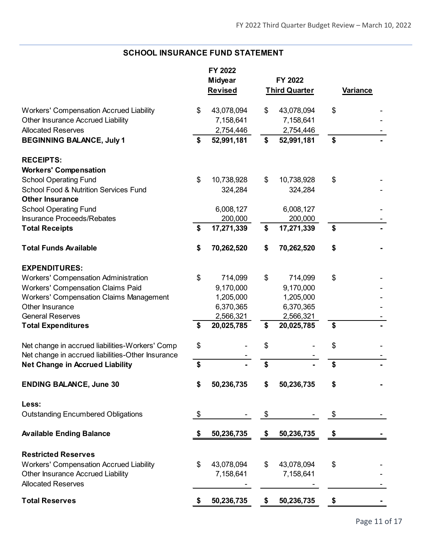## **SCHOOL INSURANCE FUND STATEMENT**

|                                                   |                | FY 2022    |                      |                 |  |
|---------------------------------------------------|----------------|------------|----------------------|-----------------|--|
|                                                   | <b>Midyear</b> |            | FY 2022              |                 |  |
|                                                   |                | Revised    | <b>Third Quarter</b> | <b>Variance</b> |  |
| <b>Workers' Compensation Accrued Liability</b>    | \$             | 43,078,094 | \$<br>43,078,094     | \$              |  |
| Other Insurance Accrued Liability                 |                | 7,158,641  | 7,158,641            |                 |  |
| <b>Allocated Reserves</b>                         |                | 2,754,446  | 2,754,446            |                 |  |
| <b>BEGINNING BALANCE, July 1</b>                  | \$             | 52,991,181 | \$<br>52,991,181     | \$              |  |
|                                                   |                |            |                      |                 |  |
| <b>RECEIPTS:</b>                                  |                |            |                      |                 |  |
| <b>Workers' Compensation</b>                      |                |            |                      |                 |  |
| <b>School Operating Fund</b>                      | \$             | 10,738,928 | \$<br>10,738,928     | \$              |  |
| <b>School Food &amp; Nutrition Services Fund</b>  |                | 324,284    | 324,284              |                 |  |
| <b>Other Insurance</b>                            |                |            |                      |                 |  |
| <b>School Operating Fund</b>                      |                | 6,008,127  | 6,008,127            |                 |  |
| Insurance Proceeds/Rebates                        |                | 200,000    | 200,000              |                 |  |
| <b>Total Receipts</b>                             | \$             | 17,271,339 | \$<br>17,271,339     | \$              |  |
| <b>Total Funds Available</b>                      | \$             | 70,262,520 | \$<br>70,262,520     | \$              |  |
| <b>EXPENDITURES:</b>                              |                |            |                      |                 |  |
| <b>Workers' Compensation Administration</b>       | \$             | 714,099    | \$<br>714,099        | \$              |  |
| <b>Workers' Compensation Claims Paid</b>          |                | 9,170,000  | 9,170,000            |                 |  |
| <b>Workers' Compensation Claims Management</b>    |                | 1,205,000  | 1,205,000            |                 |  |
| Other Insurance                                   |                | 6,370,365  | 6,370,365            |                 |  |
| <b>General Reserves</b>                           |                | 2,566,321  | 2,566,321            |                 |  |
| <b>Total Expenditures</b>                         | \$             | 20,025,785 | \$<br>20,025,785     | \$              |  |
| Net change in accrued liabilities-Workers' Comp   | \$             |            | \$                   | \$              |  |
| Net change in accrued liabilities-Other Insurance |                |            |                      |                 |  |
| <b>Net Change in Accrued Liability</b>            | \$             |            | \$                   | \$              |  |
| <b>ENDING BALANCE, June 30</b>                    |                | 50,236,735 | 50,236,735           |                 |  |
| Less:                                             |                |            |                      |                 |  |
| <b>Outstanding Encumbered Obligations</b>         | \$             |            | \$                   | \$              |  |
| <b>Available Ending Balance</b>                   | \$             | 50,236,735 | \$<br>50,236,735     | \$              |  |
| <b>Restricted Reserves</b>                        |                |            |                      |                 |  |
| <b>Workers' Compensation Accrued Liability</b>    | \$             | 43,078,094 | \$<br>43,078,094     | \$              |  |
| Other Insurance Accrued Liability                 |                | 7,158,641  | 7,158,641            |                 |  |
| <b>Allocated Reserves</b>                         |                |            |                      |                 |  |
| <b>Total Reserves</b>                             |                | 50,236,735 | \$<br>50,236,735     |                 |  |
|                                                   |                |            |                      |                 |  |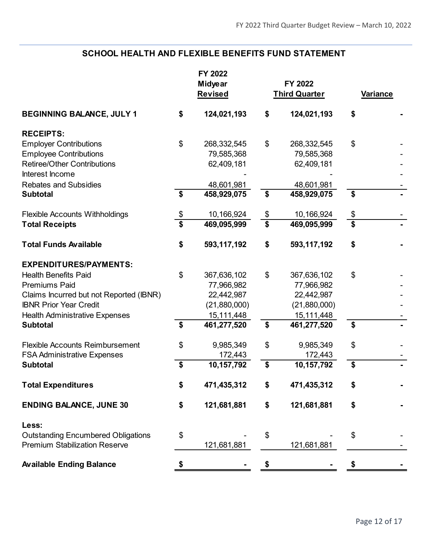# **SCHOOL HEALTH AND FLEXIBLE BENEFITS FUND STATEMENT**

|                                                          |                                      | FY 2022<br><b>Midyear</b><br><b>Revised</b> |                         | FY 2022<br><b>Third Quarter</b> | <b>Variance</b>                      |  |
|----------------------------------------------------------|--------------------------------------|---------------------------------------------|-------------------------|---------------------------------|--------------------------------------|--|
| <b>BEGINNING BALANCE, JULY 1</b>                         | \$                                   | 124,021,193                                 | \$                      | 124,021,193                     | \$                                   |  |
| <b>RECEIPTS:</b>                                         |                                      |                                             |                         |                                 |                                      |  |
| <b>Employer Contributions</b>                            | \$                                   | 268,332,545                                 | \$                      | 268,332,545                     | \$                                   |  |
| <b>Employee Contributions</b>                            |                                      | 79,585,368                                  |                         | 79,585,368                      |                                      |  |
| <b>Retiree/Other Contributions</b>                       |                                      | 62,409,181                                  |                         | 62,409,181                      |                                      |  |
| Interest Income                                          |                                      |                                             |                         |                                 |                                      |  |
| <b>Rebates and Subsidies</b>                             | \$                                   | 48,601,981<br>458,929,075                   | \$                      | 48,601,981                      | \$                                   |  |
| <b>Subtotal</b>                                          |                                      |                                             |                         | 458,929,075                     |                                      |  |
| <b>Flexible Accounts Withholdings</b>                    | \$                                   | 10,166,924                                  | $\frac{1}{2}$           | 10,166,924                      | \$                                   |  |
| <b>Total Receipts</b>                                    | $\overline{\boldsymbol{\mathsf{s}}}$ | 469,095,999                                 | $\overline{\mathbf{s}}$ | 469,095,999                     | $\overline{\boldsymbol{\mathsf{s}}}$ |  |
| <b>Total Funds Available</b>                             | \$                                   | 593,117,192                                 | \$                      | 593,117,192                     | \$                                   |  |
|                                                          |                                      |                                             |                         |                                 |                                      |  |
| <b>EXPENDITURES/PAYMENTS:</b>                            |                                      |                                             |                         |                                 |                                      |  |
| <b>Health Benefits Paid</b>                              | \$                                   | 367,636,102                                 | \$                      | 367,636,102                     | \$                                   |  |
| <b>Premiums Paid</b>                                     |                                      | 77,966,982                                  |                         | 77,966,982                      |                                      |  |
| Claims Incurred but not Reported (IBNR)                  |                                      | 22,442,987                                  |                         | 22,442,987                      |                                      |  |
| <b>IBNR Prior Year Credit</b>                            |                                      | (21,880,000)                                |                         | (21,880,000)                    |                                      |  |
| <b>Health Administrative Expenses</b><br><b>Subtotal</b> | \$                                   | 15,111,448<br>461,277,520                   | \$                      | 15,111,448<br>461,277,520       | \$                                   |  |
|                                                          |                                      |                                             |                         |                                 |                                      |  |
| <b>Flexible Accounts Reimbursement</b>                   | \$                                   | 9,985,349                                   | \$                      | 9,985,349                       | \$                                   |  |
| <b>FSA Administrative Expenses</b>                       |                                      | 172,443                                     |                         | 172,443                         |                                      |  |
| <b>Subtotal</b>                                          | \$                                   | 10,157,792                                  | \$                      | 10,157,792                      | \$                                   |  |
| <b>Total Expenditures</b>                                | \$                                   | 471,435,312                                 | \$                      | 471,435,312                     | \$                                   |  |
| <b>ENDING BALANCE, JUNE 30</b>                           | \$                                   | 121,681,881                                 | \$                      | 121,681,881                     | \$                                   |  |
| Less:                                                    |                                      |                                             |                         |                                 |                                      |  |
| <b>Outstanding Encumbered Obligations</b>                | \$                                   |                                             | \$                      |                                 | \$                                   |  |
| <b>Premium Stabilization Reserve</b>                     |                                      | 121,681,881                                 |                         | 121,681,881                     |                                      |  |
| <b>Available Ending Balance</b>                          | \$                                   |                                             | \$                      |                                 | \$                                   |  |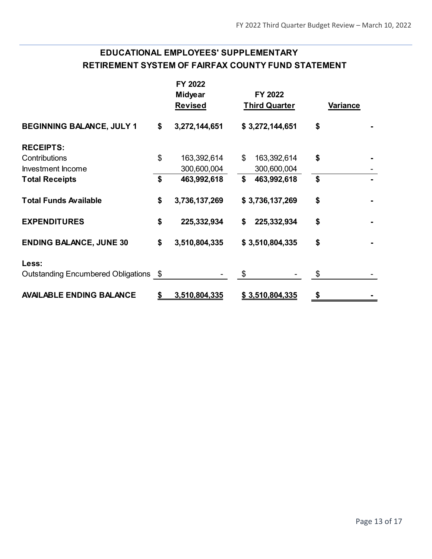# **EDUCATIONAL EMPLOYEES' SUPPLEMENTARY RETIREMENT SYSTEM OF FAIRFAX COUNTY FUND STATEMENT**

|                                       |    | FY 2022<br><b>Midyear</b><br><b>Revised</b> | FY 2022<br><b>Third Quarter</b> | Variance |  |
|---------------------------------------|----|---------------------------------------------|---------------------------------|----------|--|
| <b>BEGINNING BALANCE, JULY 1</b>      | \$ | 3,272,144,651                               | \$3,272,144,651                 | \$       |  |
| <b>RECEIPTS:</b>                      |    |                                             |                                 |          |  |
| Contributions                         | \$ | 163,392,614                                 | \$<br>163,392,614               | \$       |  |
| Investment Income                     |    | 300,600,004                                 | 300,600,004                     |          |  |
| <b>Total Receipts</b>                 | \$ | 463,992,618                                 | \$<br>463,992,618               | \$       |  |
| <b>Total Funds Available</b>          | \$ | 3,736,137,269                               | \$3,736,137,269                 | \$       |  |
| <b>EXPENDITURES</b>                   | \$ | 225,332,934                                 | 225,332,934<br>\$               | \$       |  |
| <b>ENDING BALANCE, JUNE 30</b>        | \$ | 3,510,804,335                               | \$3,510,804,335                 | \$       |  |
| Less:                                 |    |                                             |                                 |          |  |
| Outstanding Encumbered Obligations \$ |    |                                             | \$                              | \$       |  |
| <b>AVAILABLE ENDING BALANCE</b>       | S  | 3,510,804,335                               | \$3,510,804,335                 | \$       |  |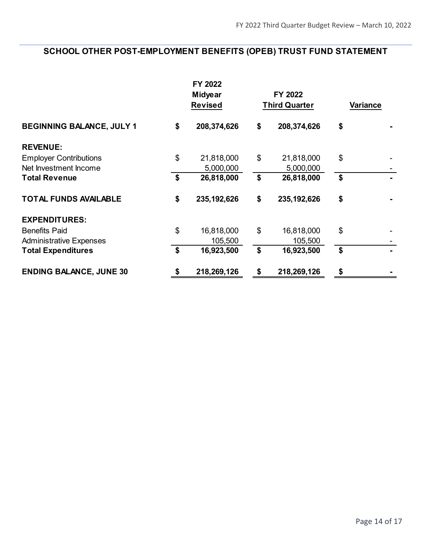# **SCHOOL OTHER POST-EMPLOYMENT BENEFITS (OPEB) TRUST FUND STATEMENT**

|                                  | FY 2022<br><b>Midyear</b><br><b>Revised</b> |               | FY 2022<br><b>Third Quarter</b> |               | Variance |  |
|----------------------------------|---------------------------------------------|---------------|---------------------------------|---------------|----------|--|
| <b>BEGINNING BALANCE, JULY 1</b> | \$                                          | 208,374,626   | \$                              | 208,374,626   | \$       |  |
| <b>REVENUE:</b>                  |                                             |               |                                 |               |          |  |
| <b>Employer Contributions</b>    | \$                                          | 21,818,000    | \$                              | 21,818,000    | \$       |  |
| Net Investment Income            |                                             | 5,000,000     |                                 | 5,000,000     |          |  |
| <b>Total Revenue</b>             | \$                                          | 26,818,000    | \$                              | 26,818,000    | \$       |  |
| <b>TOTAL FUNDS AVAILABLE</b>     | \$                                          | 235, 192, 626 | \$                              | 235, 192, 626 | \$       |  |
| <b>EXPENDITURES:</b>             |                                             |               |                                 |               |          |  |
| <b>Benefits Paid</b>             | \$                                          | 16,818,000    | \$                              | 16,818,000    | \$       |  |
| <b>Administrative Expenses</b>   |                                             | 105,500       |                                 | 105,500       |          |  |
| <b>Total Expenditures</b>        | \$                                          | 16,923,500    | \$                              | 16,923,500    | \$       |  |
| <b>ENDING BALANCE, JUNE 30</b>   | \$                                          | 218,269,126   | \$                              | 218,269,126   | \$       |  |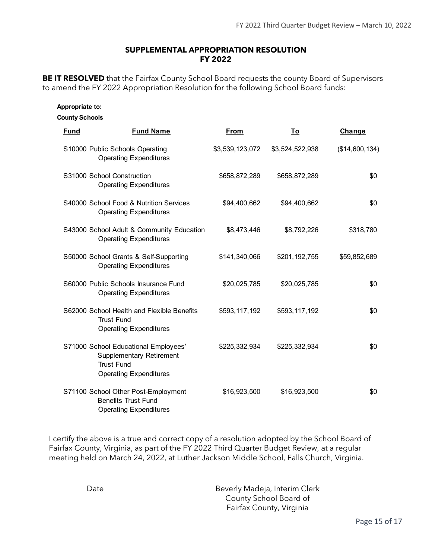#### **SUPPLEMENTAL APPROPRIATION RESOLUTION FY 2022**

**BE IT RESOLVED** that the Fairfax County School Board requests the county Board of Supervisors to amend the FY 2022 Appropriation Resolution for the following School Board funds:

| <b>Appropriate to:</b><br><b>County Schools</b> |                                                                                                                               |                 |                 |                |  |  |
|-------------------------------------------------|-------------------------------------------------------------------------------------------------------------------------------|-----------------|-----------------|----------------|--|--|
| <b>Fund</b>                                     | <b>Fund Name</b>                                                                                                              | From            | To              | Change         |  |  |
|                                                 | S10000 Public Schools Operating<br><b>Operating Expenditures</b>                                                              | \$3,539,123,072 | \$3,524,522,938 | (\$14,600,134) |  |  |
|                                                 | S31000 School Construction<br><b>Operating Expenditures</b>                                                                   | \$658,872,289   | \$658,872,289   | \$0            |  |  |
|                                                 | S40000 School Food & Nutrition Services<br><b>Operating Expenditures</b>                                                      | \$94,400,662    | \$94,400,662    | \$0            |  |  |
|                                                 | S43000 School Adult & Community Education<br><b>Operating Expenditures</b>                                                    | \$8,473,446     | \$8,792,226     | \$318,780      |  |  |
|                                                 | S50000 School Grants & Self-Supporting<br><b>Operating Expenditures</b>                                                       | \$141,340,066   | \$201,192,755   | \$59,852,689   |  |  |
|                                                 | S60000 Public Schools Insurance Fund<br><b>Operating Expenditures</b>                                                         | \$20,025,785    | \$20,025,785    | \$0            |  |  |
|                                                 | S62000 School Health and Flexible Benefits<br><b>Trust Fund</b><br><b>Operating Expenditures</b>                              | \$593,117,192   | \$593,117,192   | \$0            |  |  |
|                                                 | S71000 School Educational Employees'<br><b>Supplementary Retirement</b><br><b>Trust Fund</b><br><b>Operating Expenditures</b> | \$225,332,934   | \$225,332,934   | \$0            |  |  |
|                                                 | S71100 School Other Post-Employment<br><b>Benefits Trust Fund</b><br><b>Operating Expenditures</b>                            | \$16,923,500    | \$16,923,500    | \$0            |  |  |

I certify the above is a true and correct copy of a resolution adopted by the School Board of Fairfax County, Virginia, as part of the FY 2022 Third Quarter Budget Review, at a regular meeting held on March 24, 2022, at Luther Jackson Middle School, Falls Church, Virginia.

Date **Beverly Madeja, Interim Clerk** County School Board of Fairfax County, Virginia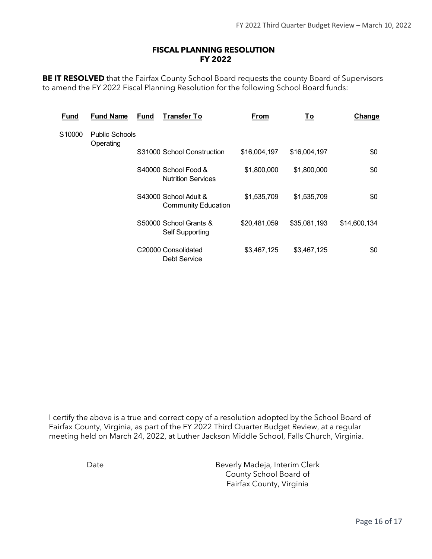#### **FISCAL PLANNING RESOLUTION FY 2022**

**BE IT RESOLVED** that the Fairfax County School Board requests the county Board of Supervisors to amend the FY 2022 Fiscal Planning Resolution for the following School Board funds:

| <b>Fund</b>         | <b>Fund Name</b>      | <b>Fund</b>                                         | <b>Transfer To</b>                                | From         | <u>To</u>    | Change |
|---------------------|-----------------------|-----------------------------------------------------|---------------------------------------------------|--------------|--------------|--------|
| S10000<br>Operating | <b>Public Schools</b> |                                                     |                                                   |              |              |        |
|                     |                       | S31000 School Construction                          | \$16,004,197                                      | \$16,004,197 | \$0          |        |
|                     |                       |                                                     | S40000 School Food &<br><b>Nutrition Services</b> | \$1,800,000  | \$1,800,000  | \$0    |
|                     |                       | S43000 School Adult &<br><b>Community Education</b> | \$1,535,709                                       | \$1,535,709  | \$0          |        |
|                     |                       | S50000 School Grants &<br><b>Self Supporting</b>    | \$20,481,059                                      | \$35,081,193 | \$14,600,134 |        |
|                     |                       |                                                     | C20000 Consolidated<br>Debt Service               | \$3,467,125  | \$3,467,125  | \$0    |

I certify the above is a true and correct copy of a resolution adopted by the School Board of Fairfax County, Virginia, as part of the FY 2022 Third Quarter Budget Review, at a regular meeting held on March 24, 2022, at Luther Jackson Middle School, Falls Church, Virginia.

Date **Beverly Madeja, Interim Clerk** County School Board of Fairfax County, Virginia